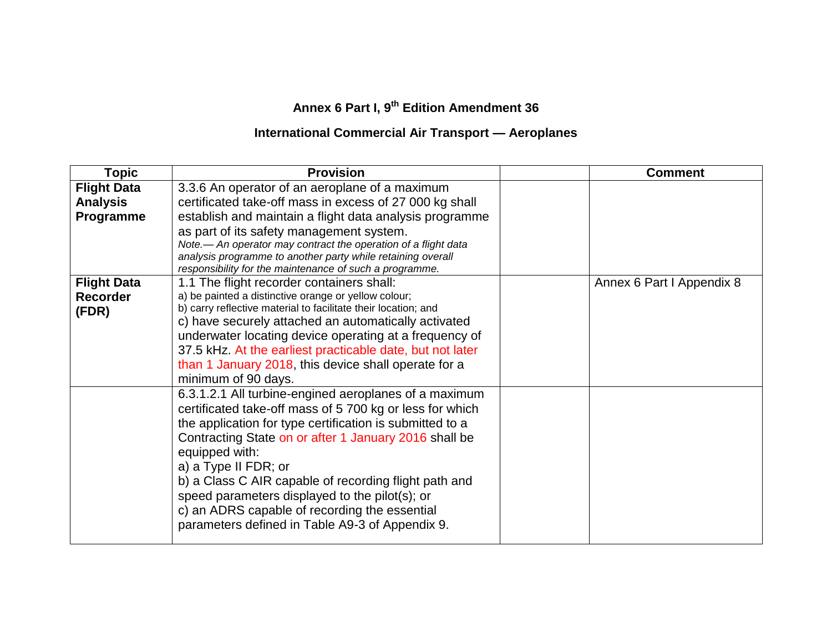## **Annex 6 Part I, 9 th Edition Amendment 36**

## **International Commercial Air Transport — Aeroplanes**

| <b>Topic</b>       | <b>Provision</b>                                               | <b>Comment</b>            |
|--------------------|----------------------------------------------------------------|---------------------------|
| <b>Flight Data</b> | 3.3.6 An operator of an aeroplane of a maximum                 |                           |
| <b>Analysis</b>    | certificated take-off mass in excess of 27 000 kg shall        |                           |
| Programme          | establish and maintain a flight data analysis programme        |                           |
|                    | as part of its safety management system.                       |                           |
|                    | Note.- An operator may contract the operation of a flight data |                           |
|                    | analysis programme to another party while retaining overall    |                           |
|                    | responsibility for the maintenance of such a programme.        |                           |
| <b>Flight Data</b> | 1.1 The flight recorder containers shall:                      | Annex 6 Part I Appendix 8 |
| <b>Recorder</b>    | a) be painted a distinctive orange or yellow colour;           |                           |
| (FDR)              | b) carry reflective material to facilitate their location; and |                           |
|                    | c) have securely attached an automatically activated           |                           |
|                    | underwater locating device operating at a frequency of         |                           |
|                    | 37.5 kHz. At the earliest practicable date, but not later      |                           |
|                    | than 1 January 2018, this device shall operate for a           |                           |
|                    | minimum of 90 days.                                            |                           |
|                    | 6.3.1.2.1 All turbine-engined aeroplanes of a maximum          |                           |
|                    | certificated take-off mass of 5 700 kg or less for which       |                           |
|                    | the application for type certification is submitted to a       |                           |
|                    | Contracting State on or after 1 January 2016 shall be          |                           |
|                    | equipped with:                                                 |                           |
|                    | a) a Type II FDR; or                                           |                           |
|                    | b) a Class C AIR capable of recording flight path and          |                           |
|                    |                                                                |                           |
|                    | speed parameters displayed to the pilot(s); or                 |                           |
|                    | c) an ADRS capable of recording the essential                  |                           |
|                    | parameters defined in Table A9-3 of Appendix 9.                |                           |
|                    |                                                                |                           |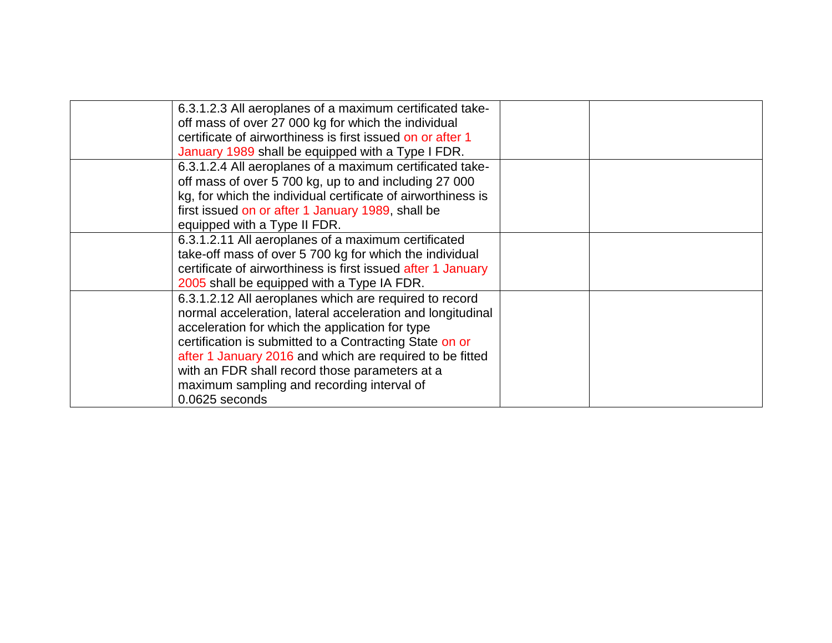| 6.3.1.2.3 All aeroplanes of a maximum certificated take-     |  |
|--------------------------------------------------------------|--|
| off mass of over 27 000 kg for which the individual          |  |
| certificate of airworthiness is first issued on or after 1   |  |
| January 1989 shall be equipped with a Type I FDR.            |  |
| 6.3.1.2.4 All aeroplanes of a maximum certificated take-     |  |
| off mass of over 5 700 kg, up to and including 27 000        |  |
| kg, for which the individual certificate of airworthiness is |  |
| first issued on or after 1 January 1989, shall be            |  |
| equipped with a Type II FDR.                                 |  |
| 6.3.1.2.11 All aeroplanes of a maximum certificated          |  |
| take-off mass of over 5 700 kg for which the individual      |  |
| certificate of airworthiness is first issued after 1 January |  |
| 2005 shall be equipped with a Type IA FDR.                   |  |
| 6.3.1.2.12 All aeroplanes which are required to record       |  |
| normal acceleration, lateral acceleration and longitudinal   |  |
| acceleration for which the application for type              |  |
| certification is submitted to a Contracting State on or      |  |
| after 1 January 2016 and which are required to be fitted     |  |
| with an FDR shall record those parameters at a               |  |
| maximum sampling and recording interval of                   |  |
| 0.0625 seconds                                               |  |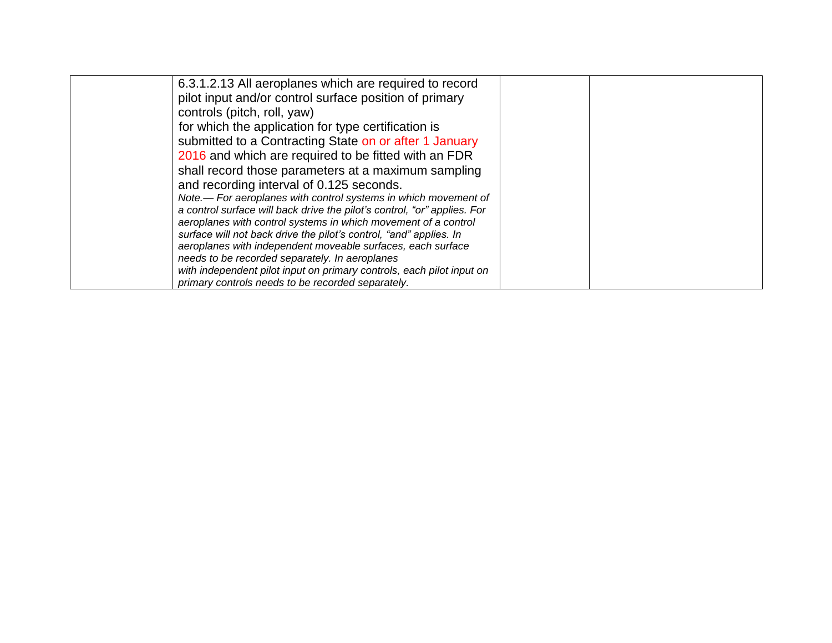| 6.3.1.2.13 All aeroplanes which are required to record                   |  |
|--------------------------------------------------------------------------|--|
| pilot input and/or control surface position of primary                   |  |
| controls (pitch, roll, yaw)                                              |  |
| for which the application for type certification is                      |  |
| submitted to a Contracting State on or after 1 January                   |  |
| 2016 and which are required to be fitted with an FDR                     |  |
| shall record those parameters at a maximum sampling                      |  |
| and recording interval of 0.125 seconds.                                 |  |
| Note.— For aeroplanes with control systems in which movement of          |  |
| a control surface will back drive the pilot's control, "or" applies. For |  |
| aeroplanes with control systems in which movement of a control           |  |
| surface will not back drive the pilot's control, "and" applies. In       |  |
| aeroplanes with independent moveable surfaces, each surface              |  |
| needs to be recorded separately. In aeroplanes                           |  |
| with independent pilot input on primary controls, each pilot input on    |  |
| primary controls needs to be recorded separately.                        |  |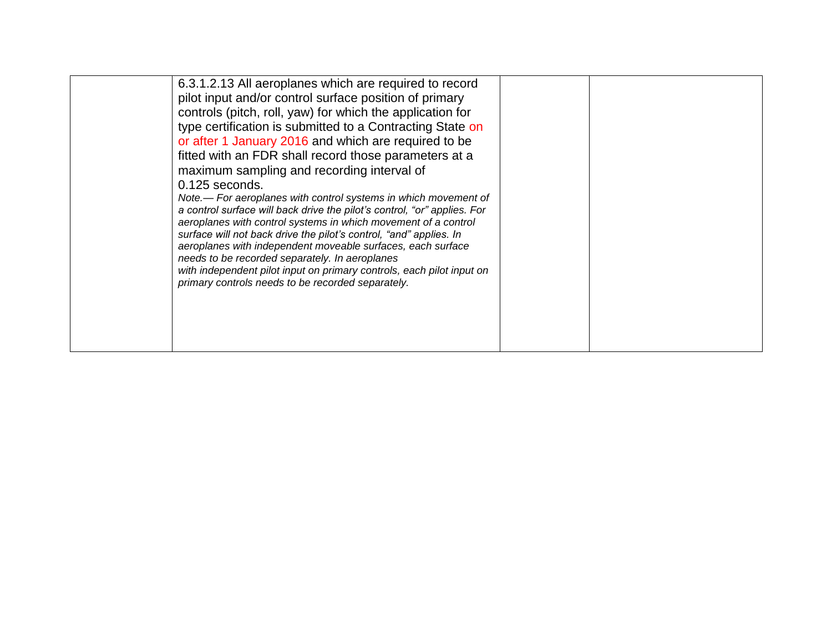| 6.3.1.2.13 All aeroplanes which are required to record<br>pilot input and/or control surface position of primary<br>controls (pitch, roll, yaw) for which the application for<br>type certification is submitted to a Contracting State on<br>or after 1 January 2016 and which are required to be<br>fitted with an FDR shall record those parameters at a<br>maximum sampling and recording interval of<br>0.125 seconds.<br>Note.— For aeroplanes with control systems in which movement of<br>a control surface will back drive the pilot's control, "or" applies. For<br>aeroplanes with control systems in which movement of a control<br>surface will not back drive the pilot's control, "and" applies. In<br>aeroplanes with independent moveable surfaces, each surface<br>needs to be recorded separately. In aeroplanes<br>with independent pilot input on primary controls, each pilot input on<br>primary controls needs to be recorded separately. |  |  |
|-------------------------------------------------------------------------------------------------------------------------------------------------------------------------------------------------------------------------------------------------------------------------------------------------------------------------------------------------------------------------------------------------------------------------------------------------------------------------------------------------------------------------------------------------------------------------------------------------------------------------------------------------------------------------------------------------------------------------------------------------------------------------------------------------------------------------------------------------------------------------------------------------------------------------------------------------------------------|--|--|
|                                                                                                                                                                                                                                                                                                                                                                                                                                                                                                                                                                                                                                                                                                                                                                                                                                                                                                                                                                   |  |  |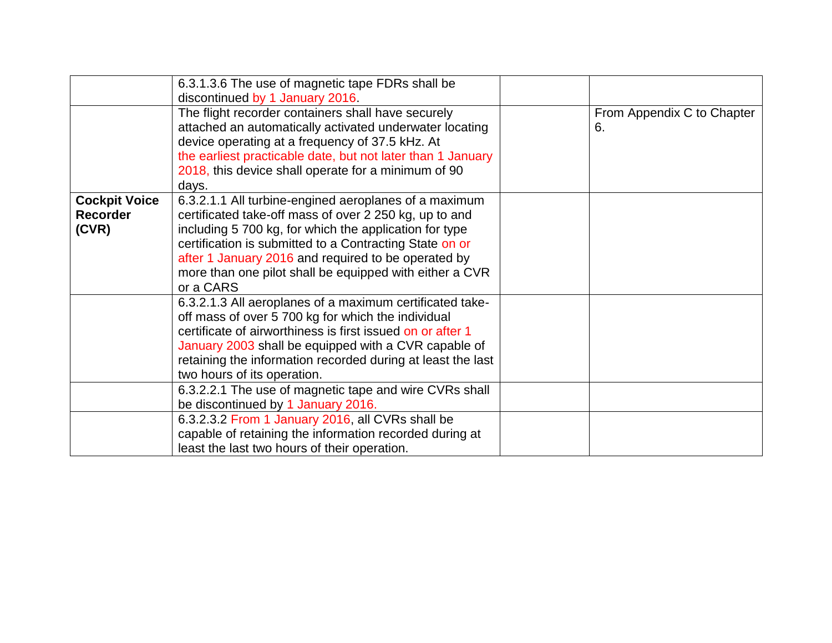|                      | 6.3.1.3.6 The use of magnetic tape FDRs shall be            |                            |
|----------------------|-------------------------------------------------------------|----------------------------|
|                      | discontinued by 1 January 2016.                             |                            |
|                      | The flight recorder containers shall have securely          | From Appendix C to Chapter |
|                      | attached an automatically activated underwater locating     | 6.                         |
|                      | device operating at a frequency of 37.5 kHz. At             |                            |
|                      | the earliest practicable date, but not later than 1 January |                            |
|                      | 2018, this device shall operate for a minimum of 90         |                            |
|                      | days.                                                       |                            |
| <b>Cockpit Voice</b> | 6.3.2.1.1 All turbine-engined aeroplanes of a maximum       |                            |
| <b>Recorder</b>      | certificated take-off mass of over 2 250 kg, up to and      |                            |
| (CVR)                | including 5 700 kg, for which the application for type      |                            |
|                      | certification is submitted to a Contracting State on or     |                            |
|                      | after 1 January 2016 and required to be operated by         |                            |
|                      | more than one pilot shall be equipped with either a CVR     |                            |
|                      | or a CARS                                                   |                            |
|                      | 6.3.2.1.3 All aeroplanes of a maximum certificated take-    |                            |
|                      | off mass of over 5 700 kg for which the individual          |                            |
|                      | certificate of airworthiness is first issued on or after 1  |                            |
|                      | January 2003 shall be equipped with a CVR capable of        |                            |
|                      | retaining the information recorded during at least the last |                            |
|                      | two hours of its operation.                                 |                            |
|                      | 6.3.2.2.1 The use of magnetic tape and wire CVRs shall      |                            |
|                      | be discontinued by 1 January 2016.                          |                            |
|                      | 6.3.2.3.2 From 1 January 2016, all CVRs shall be            |                            |
|                      | capable of retaining the information recorded during at     |                            |
|                      | least the last two hours of their operation.                |                            |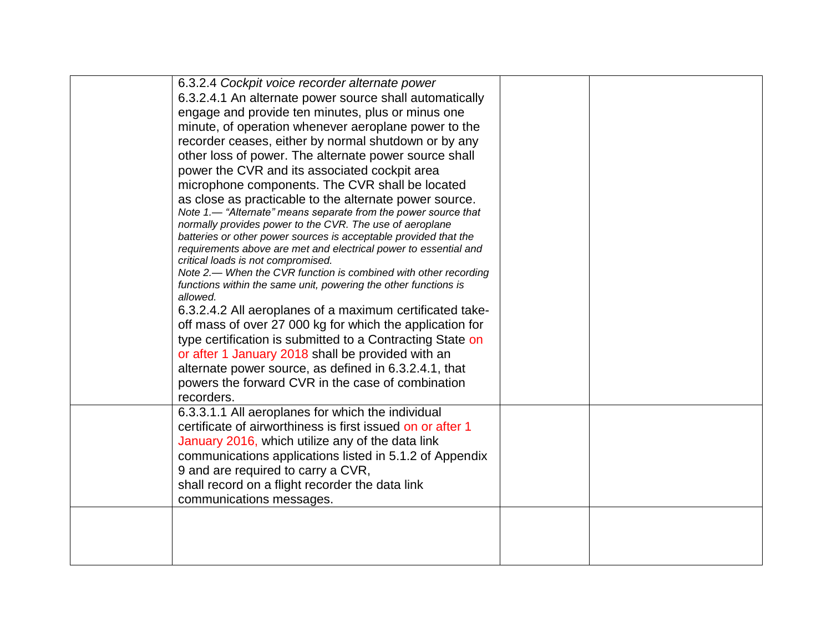| 6.3.2.4 Cockpit voice recorder alternate power                                                                                       |  |  |
|--------------------------------------------------------------------------------------------------------------------------------------|--|--|
| 6.3.2.4.1 An alternate power source shall automatically                                                                              |  |  |
| engage and provide ten minutes, plus or minus one                                                                                    |  |  |
| minute, of operation whenever aeroplane power to the                                                                                 |  |  |
| recorder ceases, either by normal shutdown or by any                                                                                 |  |  |
| other loss of power. The alternate power source shall                                                                                |  |  |
| power the CVR and its associated cockpit area                                                                                        |  |  |
| microphone components. The CVR shall be located                                                                                      |  |  |
| as close as practicable to the alternate power source.                                                                               |  |  |
| Note 1.— "Alternate" means separate from the power source that                                                                       |  |  |
| normally provides power to the CVR. The use of aeroplane                                                                             |  |  |
| batteries or other power sources is acceptable provided that the<br>requirements above are met and electrical power to essential and |  |  |
| critical loads is not compromised.                                                                                                   |  |  |
| Note 2.— When the CVR function is combined with other recording                                                                      |  |  |
| functions within the same unit, powering the other functions is                                                                      |  |  |
| allowed.                                                                                                                             |  |  |
| 6.3.2.4.2 All aeroplanes of a maximum certificated take-                                                                             |  |  |
| off mass of over 27 000 kg for which the application for                                                                             |  |  |
| type certification is submitted to a Contracting State on                                                                            |  |  |
| or after 1 January 2018 shall be provided with an                                                                                    |  |  |
| alternate power source, as defined in 6.3.2.4.1, that                                                                                |  |  |
| powers the forward CVR in the case of combination                                                                                    |  |  |
| recorders.                                                                                                                           |  |  |
| 6.3.3.1.1 All aeroplanes for which the individual                                                                                    |  |  |
| certificate of airworthiness is first issued on or after 1                                                                           |  |  |
| January 2016, which utilize any of the data link                                                                                     |  |  |
| communications applications listed in 5.1.2 of Appendix                                                                              |  |  |
| 9 and are required to carry a CVR,                                                                                                   |  |  |
| shall record on a flight recorder the data link                                                                                      |  |  |
| communications messages.                                                                                                             |  |  |
|                                                                                                                                      |  |  |
|                                                                                                                                      |  |  |
|                                                                                                                                      |  |  |
|                                                                                                                                      |  |  |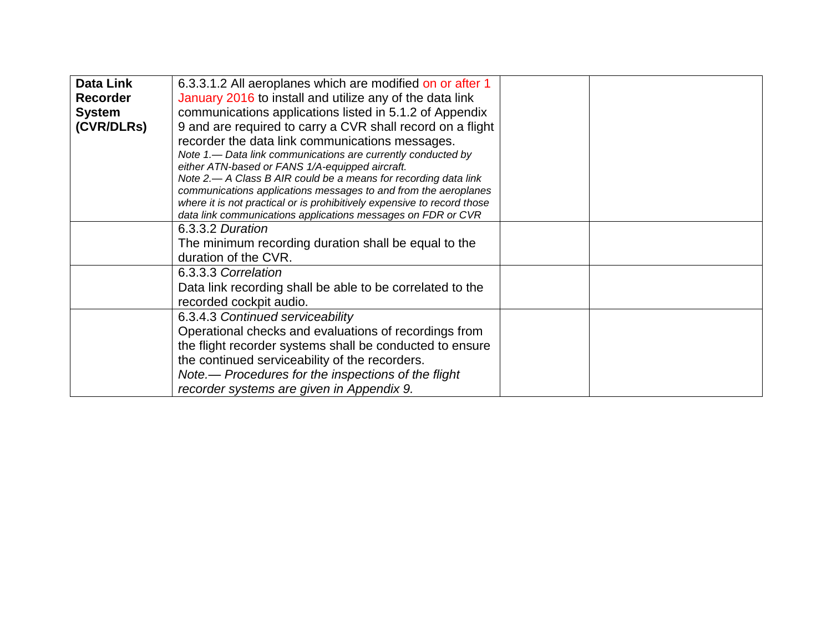| <b>Data Link</b> | 6.3.3.1.2 All aeroplanes which are modified on or after 1                                                                               |  |
|------------------|-----------------------------------------------------------------------------------------------------------------------------------------|--|
| <b>Recorder</b>  | January 2016 to install and utilize any of the data link                                                                                |  |
| <b>System</b>    | communications applications listed in 5.1.2 of Appendix                                                                                 |  |
| (CVR/DLRs)       | 9 and are required to carry a CVR shall record on a flight                                                                              |  |
|                  | recorder the data link communications messages.                                                                                         |  |
|                  | Note 1.— Data link communications are currently conducted by                                                                            |  |
|                  | either ATN-based or FANS 1/A-equipped aircraft.                                                                                         |  |
|                  | Note 2.— A Class B AIR could be a means for recording data link                                                                         |  |
|                  | communications applications messages to and from the aeroplanes                                                                         |  |
|                  | where it is not practical or is prohibitively expensive to record those<br>data link communications applications messages on FDR or CVR |  |
|                  | 6.3.3.2 Duration                                                                                                                        |  |
|                  |                                                                                                                                         |  |
|                  | The minimum recording duration shall be equal to the                                                                                    |  |
|                  | duration of the CVR.                                                                                                                    |  |
|                  | 6.3.3.3 Correlation                                                                                                                     |  |
|                  | Data link recording shall be able to be correlated to the                                                                               |  |
|                  | recorded cockpit audio.                                                                                                                 |  |
|                  | 6.3.4.3 Continued serviceability                                                                                                        |  |
|                  | Operational checks and evaluations of recordings from                                                                                   |  |
|                  | the flight recorder systems shall be conducted to ensure                                                                                |  |
|                  | the continued serviceability of the recorders.                                                                                          |  |
|                  | Note.— Procedures for the inspections of the flight                                                                                     |  |
|                  | recorder systems are given in Appendix 9.                                                                                               |  |
|                  |                                                                                                                                         |  |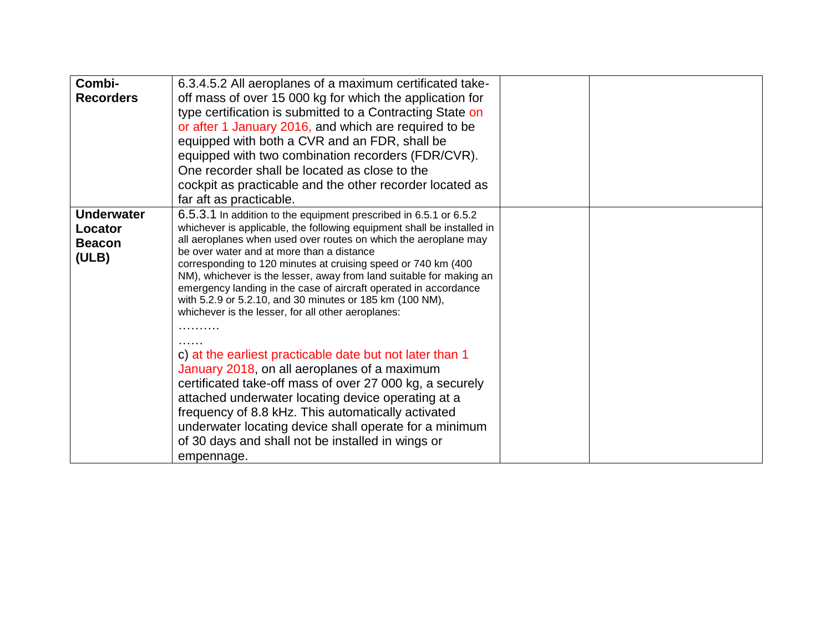| Combi-<br><b>Recorders</b>                             | 6.3.4.5.2 All aeroplanes of a maximum certificated take-<br>off mass of over 15 000 kg for which the application for<br>type certification is submitted to a Contracting State on<br>or after 1 January 2016, and which are required to be<br>equipped with both a CVR and an FDR, shall be<br>equipped with two combination recorders (FDR/CVR).<br>One recorder shall be located as close to the<br>cockpit as practicable and the other recorder located as<br>far aft as practicable.                                                                                                                                                                                                                                                                                                                                                                                                                                                                                                                  |  |
|--------------------------------------------------------|------------------------------------------------------------------------------------------------------------------------------------------------------------------------------------------------------------------------------------------------------------------------------------------------------------------------------------------------------------------------------------------------------------------------------------------------------------------------------------------------------------------------------------------------------------------------------------------------------------------------------------------------------------------------------------------------------------------------------------------------------------------------------------------------------------------------------------------------------------------------------------------------------------------------------------------------------------------------------------------------------------|--|
| <b>Underwater</b><br>Locator<br><b>Beacon</b><br>(ULB) | 6.5.3.1 In addition to the equipment prescribed in 6.5.1 or 6.5.2<br>whichever is applicable, the following equipment shall be installed in<br>all aeroplanes when used over routes on which the aeroplane may<br>be over water and at more than a distance<br>corresponding to 120 minutes at cruising speed or 740 km (400<br>NM), whichever is the lesser, away from land suitable for making an<br>emergency landing in the case of aircraft operated in accordance<br>with 5.2.9 or 5.2.10, and 30 minutes or 185 km (100 NM),<br>whichever is the lesser, for all other aeroplanes:<br>c) at the earliest practicable date but not later than 1<br>January 2018, on all aeroplanes of a maximum<br>certificated take-off mass of over 27 000 kg, a securely<br>attached underwater locating device operating at a<br>frequency of 8.8 kHz. This automatically activated<br>underwater locating device shall operate for a minimum<br>of 30 days and shall not be installed in wings or<br>empennage. |  |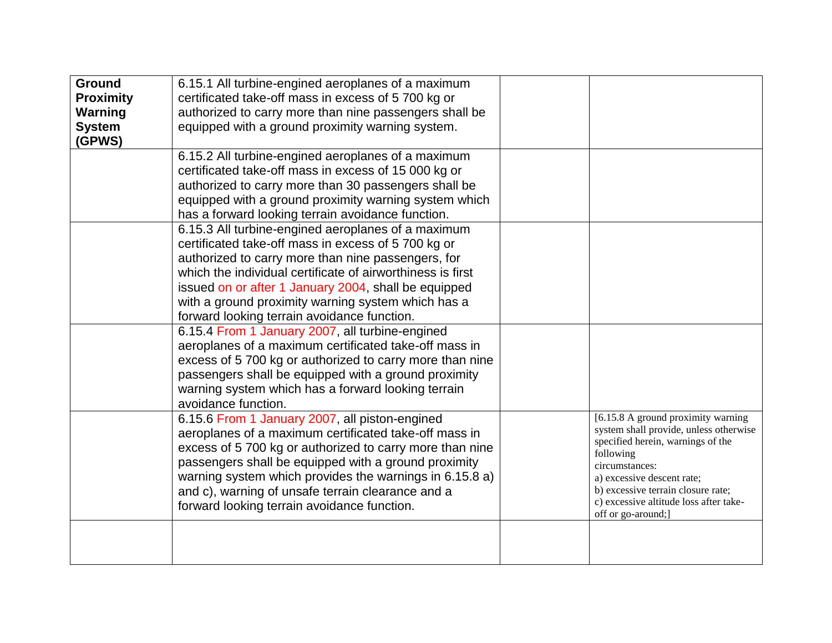| Ground           | 6.15.1 All turbine-engined aeroplanes of a maximum         |                                                |
|------------------|------------------------------------------------------------|------------------------------------------------|
| <b>Proximity</b> | certificated take-off mass in excess of 5 700 kg or        |                                                |
| <b>Warning</b>   | authorized to carry more than nine passengers shall be     |                                                |
| <b>System</b>    | equipped with a ground proximity warning system.           |                                                |
| (GPWS)           |                                                            |                                                |
|                  | 6.15.2 All turbine-engined aeroplanes of a maximum         |                                                |
|                  | certificated take-off mass in excess of 15 000 kg or       |                                                |
|                  | authorized to carry more than 30 passengers shall be       |                                                |
|                  | equipped with a ground proximity warning system which      |                                                |
|                  | has a forward looking terrain avoidance function.          |                                                |
|                  | 6.15.3 All turbine-engined aeroplanes of a maximum         |                                                |
|                  | certificated take-off mass in excess of 5 700 kg or        |                                                |
|                  | authorized to carry more than nine passengers, for         |                                                |
|                  | which the individual certificate of airworthiness is first |                                                |
|                  |                                                            |                                                |
|                  | issued on or after 1 January 2004, shall be equipped       |                                                |
|                  | with a ground proximity warning system which has a         |                                                |
|                  | forward looking terrain avoidance function.                |                                                |
|                  | 6.15.4 From 1 January 2007, all turbine-engined            |                                                |
|                  | aeroplanes of a maximum certificated take-off mass in      |                                                |
|                  | excess of 5 700 kg or authorized to carry more than nine   |                                                |
|                  | passengers shall be equipped with a ground proximity       |                                                |
|                  | warning system which has a forward looking terrain         |                                                |
|                  | avoidance function.                                        |                                                |
|                  | 6.15.6 From 1 January 2007, all piston-engined             | [6.15.8 A ground proximity warning             |
|                  | aeroplanes of a maximum certificated take-off mass in      | system shall provide, unless otherwise         |
|                  | excess of 5 700 kg or authorized to carry more than nine   | specified herein, warnings of the<br>following |
|                  | passengers shall be equipped with a ground proximity       | circumstances:                                 |
|                  | warning system which provides the warnings in 6.15.8 a)    | a) excessive descent rate;                     |
|                  | and c), warning of unsafe terrain clearance and a          | b) excessive terrain closure rate;             |
|                  | forward looking terrain avoidance function.                | c) excessive altitude loss after take-         |
|                  |                                                            | off or go-around;]                             |
|                  |                                                            |                                                |
|                  |                                                            |                                                |
|                  |                                                            |                                                |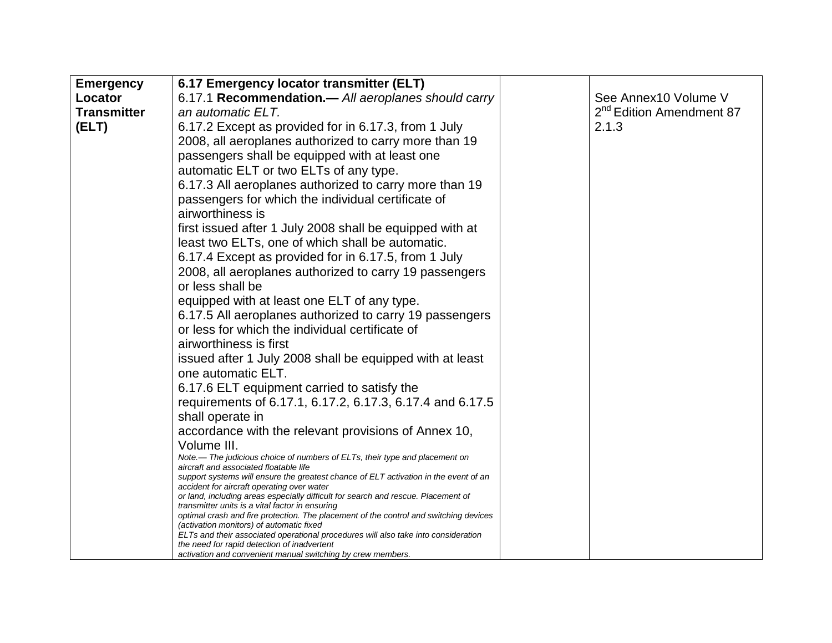| <b>Emergency</b>   | 6.17 Emergency locator transmitter (ELT)                                                                                             |                                      |
|--------------------|--------------------------------------------------------------------------------------------------------------------------------------|--------------------------------------|
| Locator            | 6.17.1 Recommendation.- All aeroplanes should carry                                                                                  | See Annex10 Volume V                 |
| <b>Transmitter</b> | an automatic ELT.                                                                                                                    | 2 <sup>nd</sup> Edition Amendment 87 |
| (ELT)              | 6.17.2 Except as provided for in 6.17.3, from 1 July                                                                                 | 2.1.3                                |
|                    | 2008, all aeroplanes authorized to carry more than 19                                                                                |                                      |
|                    | passengers shall be equipped with at least one                                                                                       |                                      |
|                    | automatic ELT or two ELTs of any type.                                                                                               |                                      |
|                    | 6.17.3 All aeroplanes authorized to carry more than 19                                                                               |                                      |
|                    | passengers for which the individual certificate of                                                                                   |                                      |
|                    | airworthiness is                                                                                                                     |                                      |
|                    | first issued after 1 July 2008 shall be equipped with at                                                                             |                                      |
|                    | least two ELTs, one of which shall be automatic.                                                                                     |                                      |
|                    | 6.17.4 Except as provided for in 6.17.5, from 1 July                                                                                 |                                      |
|                    | 2008, all aeroplanes authorized to carry 19 passengers                                                                               |                                      |
|                    | or less shall be                                                                                                                     |                                      |
|                    | equipped with at least one ELT of any type.                                                                                          |                                      |
|                    | 6.17.5 All aeroplanes authorized to carry 19 passengers                                                                              |                                      |
|                    | or less for which the individual certificate of                                                                                      |                                      |
|                    | airworthiness is first                                                                                                               |                                      |
|                    | issued after 1 July 2008 shall be equipped with at least                                                                             |                                      |
|                    | one automatic ELT.                                                                                                                   |                                      |
|                    | 6.17.6 ELT equipment carried to satisfy the                                                                                          |                                      |
|                    | requirements of 6.17.1, 6.17.2, 6.17.3, 6.17.4 and 6.17.5                                                                            |                                      |
|                    | shall operate in                                                                                                                     |                                      |
|                    | accordance with the relevant provisions of Annex 10,                                                                                 |                                      |
|                    | Volume III.                                                                                                                          |                                      |
|                    | Note.— The judicious choice of numbers of ELTs, their type and placement on<br>aircraft and associated floatable life                |                                      |
|                    | support systems will ensure the greatest chance of ELT activation in the event of an                                                 |                                      |
|                    | accident for aircraft operating over water                                                                                           |                                      |
|                    | or land, including areas especially difficult for search and rescue. Placement of<br>transmitter units is a vital factor in ensuring |                                      |
|                    | optimal crash and fire protection. The placement of the control and switching devices                                                |                                      |
|                    | (activation monitors) of automatic fixed<br>ELTs and their associated operational procedures will also take into consideration       |                                      |
|                    | the need for rapid detection of inadvertent                                                                                          |                                      |
|                    | activation and convenient manual switching by crew members.                                                                          |                                      |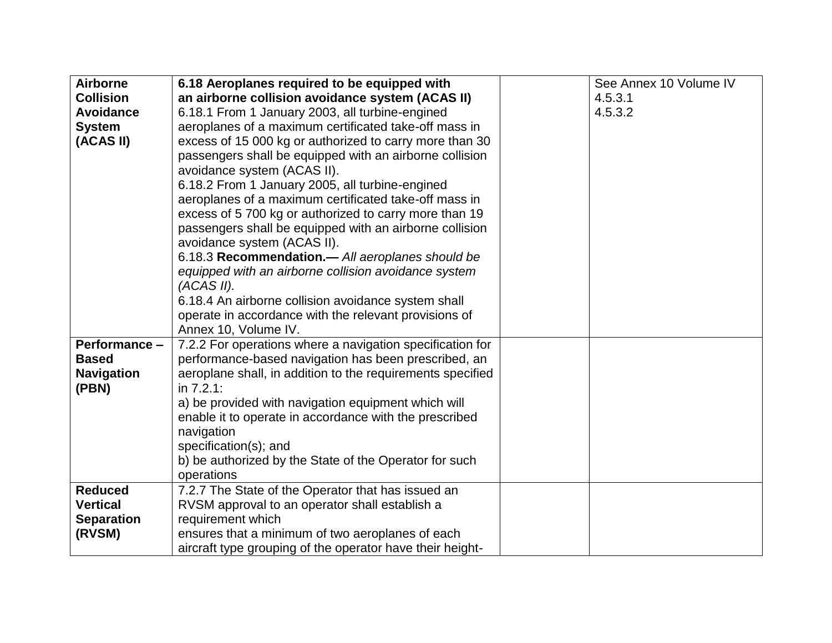| <b>Airborne</b>   | 6.18 Aeroplanes required to be equipped with               | See Annex 10 Volume IV |
|-------------------|------------------------------------------------------------|------------------------|
| <b>Collision</b>  | an airborne collision avoidance system (ACAS II)           | 4.5.3.1                |
| <b>Avoidance</b>  | 6.18.1 From 1 January 2003, all turbine-engined            | 4.5.3.2                |
| <b>System</b>     | aeroplanes of a maximum certificated take-off mass in      |                        |
| (ACAS II)         | excess of 15 000 kg or authorized to carry more than 30    |                        |
|                   | passengers shall be equipped with an airborne collision    |                        |
|                   | avoidance system (ACAS II).                                |                        |
|                   | 6.18.2 From 1 January 2005, all turbine-engined            |                        |
|                   | aeroplanes of a maximum certificated take-off mass in      |                        |
|                   | excess of 5 700 kg or authorized to carry more than 19     |                        |
|                   | passengers shall be equipped with an airborne collision    |                        |
|                   | avoidance system (ACAS II).                                |                        |
|                   | 6.18.3 Recommendation.- All aeroplanes should be           |                        |
|                   | equipped with an airborne collision avoidance system       |                        |
|                   | (ACAS II).                                                 |                        |
|                   | 6.18.4 An airborne collision avoidance system shall        |                        |
|                   | operate in accordance with the relevant provisions of      |                        |
|                   | Annex 10, Volume IV.                                       |                        |
| Performance -     | 7.2.2 For operations where a navigation specification for  |                        |
| <b>Based</b>      | performance-based navigation has been prescribed, an       |                        |
| <b>Navigation</b> | aeroplane shall, in addition to the requirements specified |                        |
| (PBN)             | in 7.2.1:                                                  |                        |
|                   | a) be provided with navigation equipment which will        |                        |
|                   | enable it to operate in accordance with the prescribed     |                        |
|                   | navigation                                                 |                        |
|                   | specification(s); and                                      |                        |
|                   | b) be authorized by the State of the Operator for such     |                        |
|                   | operations                                                 |                        |
| <b>Reduced</b>    | 7.2.7 The State of the Operator that has issued an         |                        |
| <b>Vertical</b>   | RVSM approval to an operator shall establish a             |                        |
| <b>Separation</b> | requirement which                                          |                        |
| (RVSM)            | ensures that a minimum of two aeroplanes of each           |                        |
|                   | aircraft type grouping of the operator have their height-  |                        |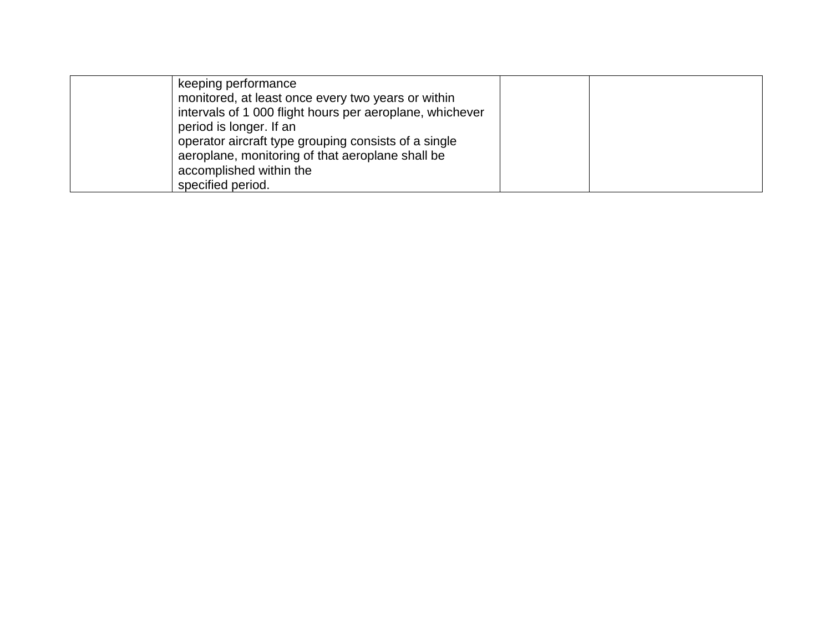| keeping performance<br>monitored, at least once every two years or within                                |  |
|----------------------------------------------------------------------------------------------------------|--|
| intervals of 1 000 flight hours per aeroplane, whichever<br>period is longer. If an                      |  |
| operator aircraft type grouping consists of a single<br>aeroplane, monitoring of that aeroplane shall be |  |
| accomplished within the<br>specified period.                                                             |  |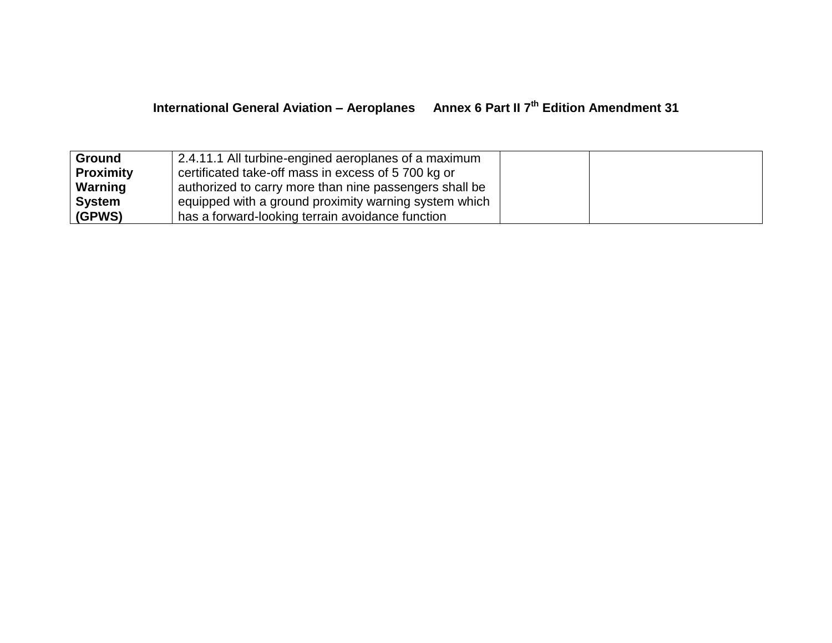| <b>Ground</b> | 2.4.11.1 All turbine-engined aeroplanes of a maximum   |
|---------------|--------------------------------------------------------|
| Proximity     | certificated take-off mass in excess of 5 700 kg or    |
| Warning       | authorized to carry more than nine passengers shall be |
| ∣ System      | equipped with a ground proximity warning system which  |
| (GPWS)        | has a forward-looking terrain avoidance function       |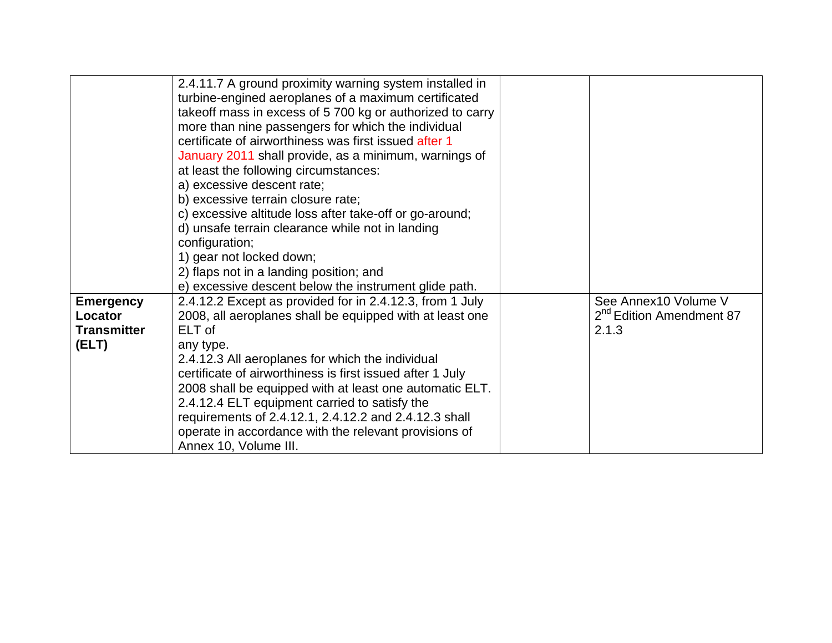|                    | 2.4.11.7 A ground proximity warning system installed in   |                                      |
|--------------------|-----------------------------------------------------------|--------------------------------------|
|                    | turbine-engined aeroplanes of a maximum certificated      |                                      |
|                    | takeoff mass in excess of 5 700 kg or authorized to carry |                                      |
|                    | more than nine passengers for which the individual        |                                      |
|                    | certificate of airworthiness was first issued after 1     |                                      |
|                    | January 2011 shall provide, as a minimum, warnings of     |                                      |
|                    | at least the following circumstances:                     |                                      |
|                    | a) excessive descent rate;                                |                                      |
|                    | b) excessive terrain closure rate;                        |                                      |
|                    | c) excessive altitude loss after take-off or go-around;   |                                      |
|                    | d) unsafe terrain clearance while not in landing          |                                      |
|                    | configuration;                                            |                                      |
|                    | 1) gear not locked down;                                  |                                      |
|                    | 2) flaps not in a landing position; and                   |                                      |
|                    | e) excessive descent below the instrument glide path.     |                                      |
| <b>Emergency</b>   | 2.4.12.2 Except as provided for in 2.4.12.3, from 1 July  | See Annex10 Volume V                 |
| Locator            | 2008, all aeroplanes shall be equipped with at least one  | 2 <sup>nd</sup> Edition Amendment 87 |
| <b>Transmitter</b> | ELT of                                                    | 2.1.3                                |
| (ELT)              | any type.                                                 |                                      |
|                    | 2.4.12.3 All aeroplanes for which the individual          |                                      |
|                    | certificate of airworthiness is first issued after 1 July |                                      |
|                    | 2008 shall be equipped with at least one automatic ELT.   |                                      |
|                    | 2.4.12.4 ELT equipment carried to satisfy the             |                                      |
|                    | requirements of 2.4.12.1, 2.4.12.2 and 2.4.12.3 shall     |                                      |
|                    | operate in accordance with the relevant provisions of     |                                      |
|                    | Annex 10, Volume III.                                     |                                      |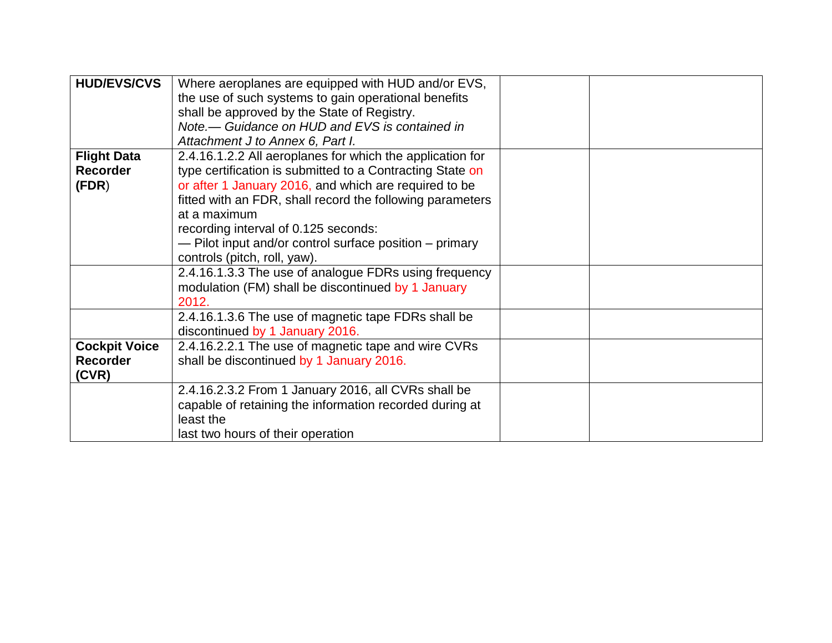| <b>HUD/EVS/CVS</b>   | Where aeroplanes are equipped with HUD and/or EVS,        |  |
|----------------------|-----------------------------------------------------------|--|
|                      | the use of such systems to gain operational benefits      |  |
|                      | shall be approved by the State of Registry.               |  |
|                      | Note.— Guidance on HUD and EVS is contained in            |  |
|                      | Attachment J to Annex 6, Part I.                          |  |
| <b>Flight Data</b>   | 2.4.16.1.2.2 All aeroplanes for which the application for |  |
| <b>Recorder</b>      | type certification is submitted to a Contracting State on |  |
| (FDR)                | or after 1 January 2016, and which are required to be     |  |
|                      | fitted with an FDR, shall record the following parameters |  |
|                      | at a maximum                                              |  |
|                      | recording interval of 0.125 seconds:                      |  |
|                      | - Pilot input and/or control surface position - primary   |  |
|                      | controls (pitch, roll, yaw).                              |  |
|                      | 2.4.16.1.3.3 The use of analogue FDRs using frequency     |  |
|                      | modulation (FM) shall be discontinued by 1 January        |  |
|                      | 2012.                                                     |  |
|                      | 2.4.16.1.3.6 The use of magnetic tape FDRs shall be       |  |
|                      | discontinued by 1 January 2016.                           |  |
| <b>Cockpit Voice</b> | 2.4.16.2.2.1 The use of magnetic tape and wire CVRs       |  |
| <b>Recorder</b>      | shall be discontinued by 1 January 2016.                  |  |
| (CVR)                |                                                           |  |
|                      | 2.4.16.2.3.2 From 1 January 2016, all CVRs shall be       |  |
|                      | capable of retaining the information recorded during at   |  |
|                      | least the                                                 |  |
|                      | last two hours of their operation                         |  |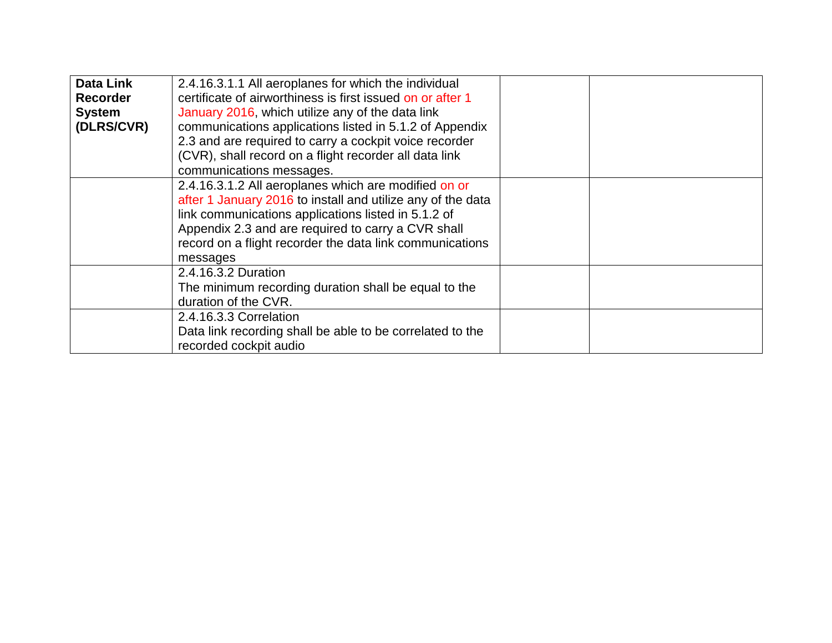| <b>Data Link</b> | 2.4.16.3.1.1 All aeroplanes for which the individual        |  |
|------------------|-------------------------------------------------------------|--|
|                  |                                                             |  |
| <b>Recorder</b>  | certificate of airworthiness is first issued on or after 1  |  |
| <b>System</b>    | January 2016, which utilize any of the data link            |  |
| (DLRS/CVR)       | communications applications listed in 5.1.2 of Appendix     |  |
|                  | 2.3 and are required to carry a cockpit voice recorder      |  |
|                  | (CVR), shall record on a flight recorder all data link      |  |
|                  | communications messages.                                    |  |
|                  | 2.4.16.3.1.2 All aeroplanes which are modified on or        |  |
|                  | after 1 January 2016 to install and utilize any of the data |  |
|                  | link communications applications listed in 5.1.2 of         |  |
|                  | Appendix 2.3 and are required to carry a CVR shall          |  |
|                  | record on a flight recorder the data link communications    |  |
|                  | messages                                                    |  |
|                  | 2.4.16.3.2 Duration                                         |  |
|                  | The minimum recording duration shall be equal to the        |  |
|                  | duration of the CVR.                                        |  |
|                  | 2.4.16.3.3 Correlation                                      |  |
|                  | Data link recording shall be able to be correlated to the   |  |
|                  | recorded cockpit audio                                      |  |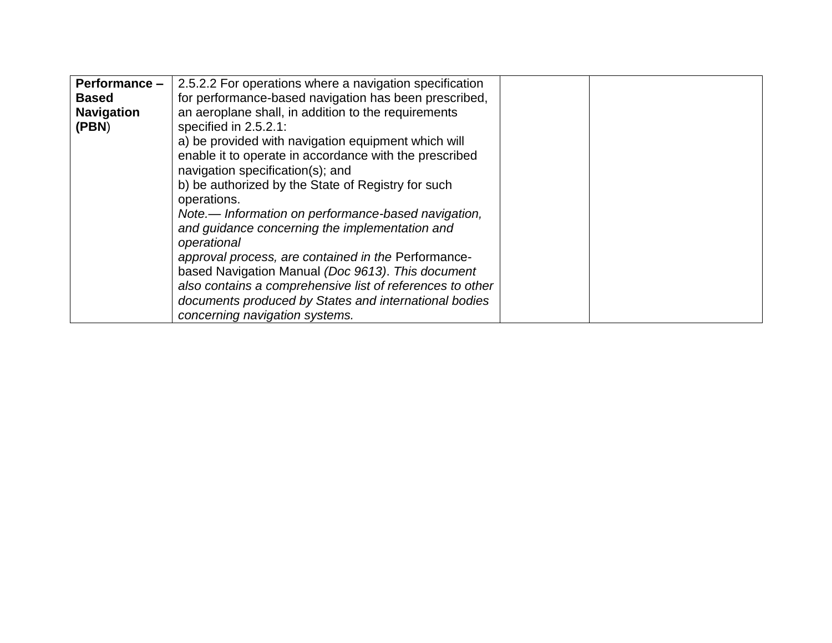| Performance -     | 2.5.2.2 For operations where a navigation specification   |  |
|-------------------|-----------------------------------------------------------|--|
| <b>Based</b>      | for performance-based navigation has been prescribed,     |  |
| <b>Navigation</b> | an aeroplane shall, in addition to the requirements       |  |
| (PBN)             | specified in $2.5.2.1$ :                                  |  |
|                   | a) be provided with navigation equipment which will       |  |
|                   | enable it to operate in accordance with the prescribed    |  |
|                   | navigation specification(s); and                          |  |
|                   | b) be authorized by the State of Registry for such        |  |
|                   | operations.                                               |  |
|                   | Note.— Information on performance-based navigation,       |  |
|                   | and guidance concerning the implementation and            |  |
|                   | operational                                               |  |
|                   | approval process, are contained in the Performance-       |  |
|                   | based Navigation Manual (Doc 9613). This document         |  |
|                   | also contains a comprehensive list of references to other |  |
|                   | documents produced by States and international bodies     |  |
|                   | concerning navigation systems.                            |  |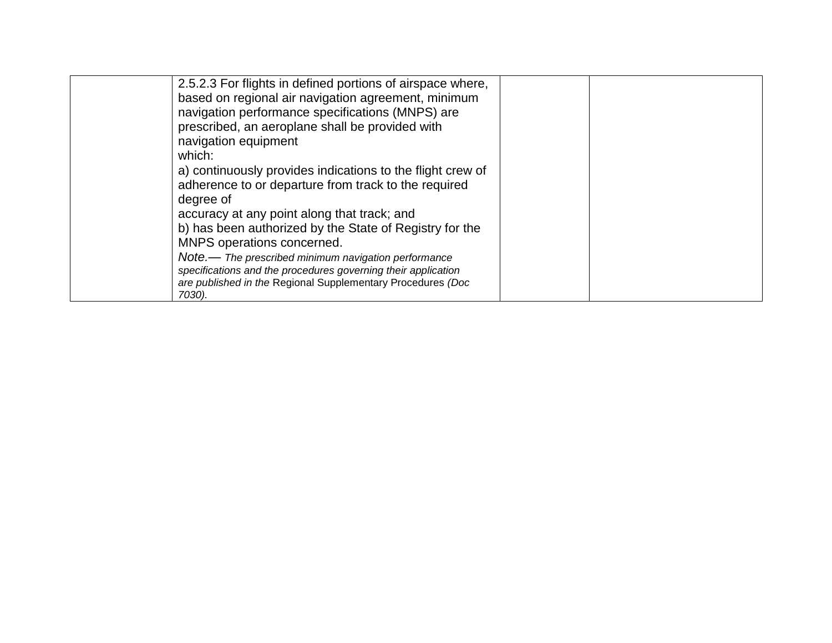| 2.5.2.3 For flights in defined portions of airspace where,    |  |
|---------------------------------------------------------------|--|
| based on regional air navigation agreement, minimum           |  |
| navigation performance specifications (MNPS) are              |  |
| prescribed, an aeroplane shall be provided with               |  |
| navigation equipment                                          |  |
| which:                                                        |  |
| a) continuously provides indications to the flight crew of    |  |
| adherence to or departure from track to the required          |  |
| degree of                                                     |  |
| accuracy at any point along that track; and                   |  |
| b) has been authorized by the State of Registry for the       |  |
| MNPS operations concerned.                                    |  |
| Note.— The prescribed minimum navigation performance          |  |
| specifications and the procedures governing their application |  |
| are published in the Regional Supplementary Procedures (Doc   |  |
| 7030).                                                        |  |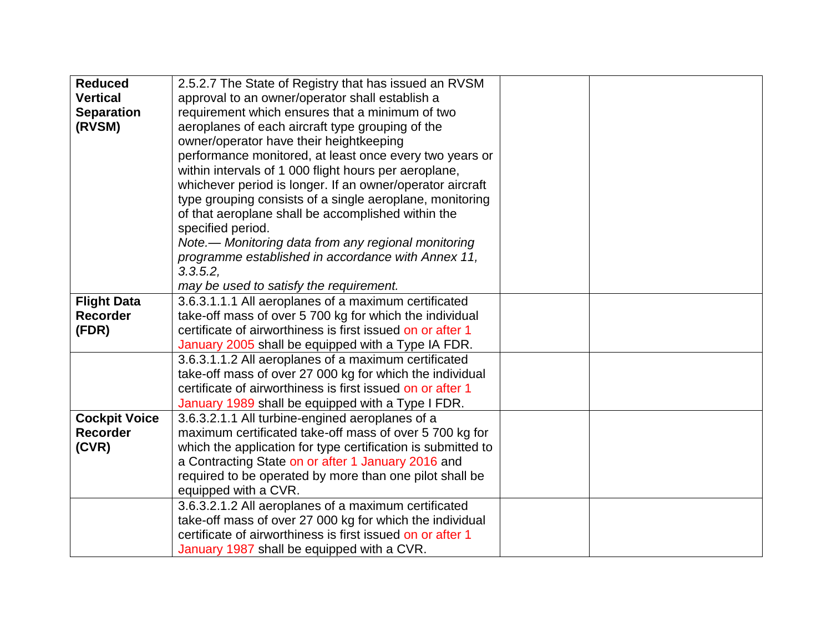| <b>Reduced</b>       | 2.5.2.7 The State of Registry that has issued an RVSM        |  |
|----------------------|--------------------------------------------------------------|--|
| <b>Vertical</b>      | approval to an owner/operator shall establish a              |  |
| <b>Separation</b>    | requirement which ensures that a minimum of two              |  |
| (RVSM)               | aeroplanes of each aircraft type grouping of the             |  |
|                      | owner/operator have their heightkeeping                      |  |
|                      | performance monitored, at least once every two years or      |  |
|                      | within intervals of 1 000 flight hours per aeroplane,        |  |
|                      | whichever period is longer. If an owner/operator aircraft    |  |
|                      | type grouping consists of a single aeroplane, monitoring     |  |
|                      | of that aeroplane shall be accomplished within the           |  |
|                      | specified period.                                            |  |
|                      | Note.— Monitoring data from any regional monitoring          |  |
|                      | programme established in accordance with Annex 11,           |  |
|                      | 3.3.5.2                                                      |  |
|                      | may be used to satisfy the requirement.                      |  |
| <b>Flight Data</b>   | 3.6.3.1.1.1 All aeroplanes of a maximum certificated         |  |
| <b>Recorder</b>      | take-off mass of over 5 700 kg for which the individual      |  |
| (FDR)                | certificate of airworthiness is first issued on or after 1   |  |
|                      | January 2005 shall be equipped with a Type IA FDR.           |  |
|                      | 3.6.3.1.1.2 All aeroplanes of a maximum certificated         |  |
|                      | take-off mass of over 27 000 kg for which the individual     |  |
|                      | certificate of airworthiness is first issued on or after 1   |  |
|                      | January 1989 shall be equipped with a Type I FDR.            |  |
| <b>Cockpit Voice</b> | 3.6.3.2.1.1 All turbine-engined aeroplanes of a              |  |
| <b>Recorder</b>      | maximum certificated take-off mass of over 5 700 kg for      |  |
| (CVR)                | which the application for type certification is submitted to |  |
|                      | a Contracting State on or after 1 January 2016 and           |  |
|                      | required to be operated by more than one pilot shall be      |  |
|                      | equipped with a CVR.                                         |  |
|                      | 3.6.3.2.1.2 All aeroplanes of a maximum certificated         |  |
|                      | take-off mass of over 27 000 kg for which the individual     |  |
|                      | certificate of airworthiness is first issued on or after 1   |  |
|                      | January 1987 shall be equipped with a CVR.                   |  |